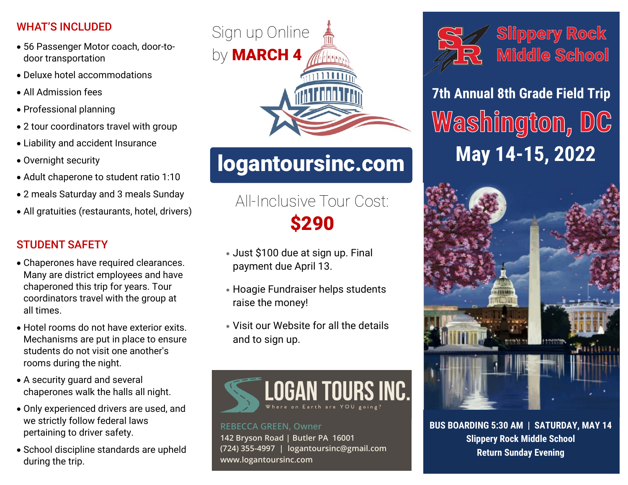## WHAT'S INCLUDED

- 56 Passenger Motor coach, door-todoor transportation
- Deluxe hotel accommodations
- All Admission fees
- Professional planning
- 2 tour coordinators travel with group
- Liability and accident Insurance
- Overnight security
- Adult chaperone to student ratio 1:10
- 2 meals Saturday and 3 meals Sunday
- All gratuities (restaurants, hotel, drivers)

## STUDENT SAFETY

- Chaperones have required clearances. Many are district employees and have chaperoned this trip for years. Tour coordinators travel with the group at all times.
- Hotel rooms do not have exterior exits. Mechanisms are put in place to ensure students do not visit one another's rooms during the night.
- A security guard and several chaperones walk the halls all night.
- Only experienced drivers are used, and we strictly follow federal laws pertaining to driver safety.
- School discipline standards are upheld during the trip.



# **logantoursinc.com**

# All-Inclusive Tour Cost: **\$290**

- Just \$100 due at sign up. Final payment due April 13.
- Hoagie Fundraiser helps students raise the money!
- Visit our Website for all the details and to sign up.



**REBECCA GREEN, Owner 142 Bryson Road | Butler PA 16001 (724) 355-4997 | logantoursinc@gmail.com www.logantoursinc.com**



**Slippery Rock** Middle School

**7th Annual 8th Grade Field Trip** Washington, DC **May 14-15, 2022**



**BUS BOARDING 5:30 AM | SATURDAY, MAY 14 Slippery Rock Middle School Return Sunday Evening**